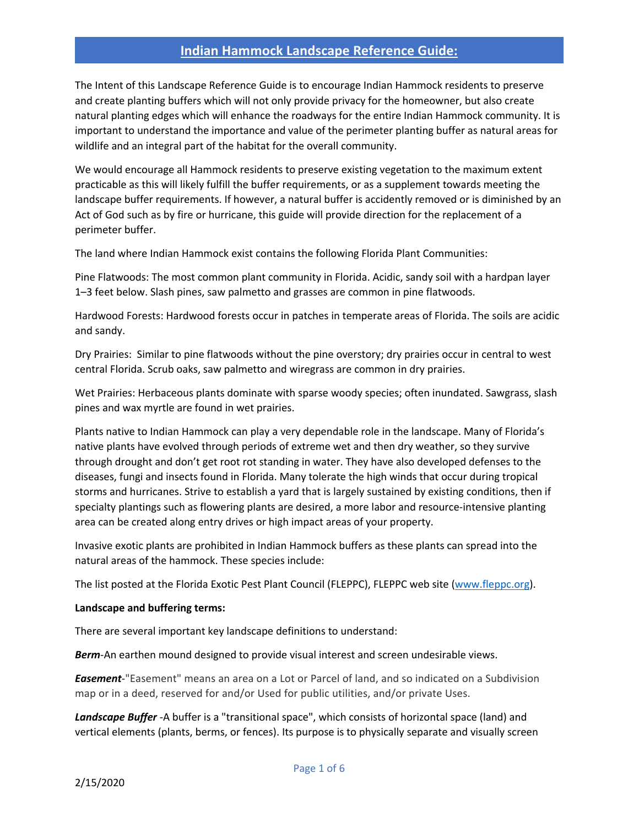The Intent of this Landscape Reference Guide is to encourage Indian Hammock residents to preserve and create planting buffers which will not only provide privacy for the homeowner, but also create natural planting edges which will enhance the roadways for the entire Indian Hammock community. It is important to understand the importance and value of the perimeter planting buffer as natural areas for wildlife and an integral part of the habitat for the overall community.

We would encourage all Hammock residents to preserve existing vegetation to the maximum extent practicable as this will likely fulfill the buffer requirements, or as a supplement towards meeting the landscape buffer requirements. If however, a natural buffer is accidently removed or is diminished by an Act of God such as by fire or hurricane, this guide will provide direction for the replacement of a perimeter buffer.

The land where Indian Hammock exist contains the following Florida Plant Communities:

Pine Flatwoods: The most common plant community in Florida. Acidic, sandy soil with a hardpan layer 1–3 feet below. Slash pines, saw palmetto and grasses are common in pine flatwoods.

Hardwood Forests: Hardwood forests occur in patches in temperate areas of Florida. The soils are acidic and sandy.

Dry Prairies: Similar to pine flatwoods without the pine overstory; dry prairies occur in central to west central Florida. Scrub oaks, saw palmetto and wiregrass are common in dry prairies.

Wet Prairies: Herbaceous plants dominate with sparse woody species; often inundated. Sawgrass, slash pines and wax myrtle are found in wet prairies.

Plants native to Indian Hammock can play a very dependable role in the landscape. Many of Florida's native plants have evolved through periods of extreme wet and then dry weather, so they survive through drought and don't get root rot standing in water. They have also developed defenses to the diseases, fungi and insects found in Florida. Many tolerate the high winds that occur during tropical storms and hurricanes. Strive to establish a yard that is largely sustained by existing conditions, then if specialty plantings such as flowering plants are desired, a more labor and resource-intensive planting area can be created along entry drives or high impact areas of your property.

Invasive exotic plants are prohibited in Indian Hammock buffers as these plants can spread into the natural areas of the hammock. These species include:

The list posted at the Florida Exotic Pest Plant Council (FLEPPC), FLEPPC web site (www.fleppc.org).

#### **Landscape and buffering terms:**

There are several important key landscape definitions to understand:

*Berm*-An earthen mound designed to provide visual interest and screen undesirable views.

*Easement*-"Easement" means an area on a Lot or Parcel of land, and so indicated on a Subdivision map or in a deed, reserved for and/or Used for public utilities, and/or private Uses.

*Landscape Buffer* -A buffer is a "transitional space", which consists of horizontal space (land) and vertical elements (plants, berms, or fences). Its purpose is to physically separate and visually screen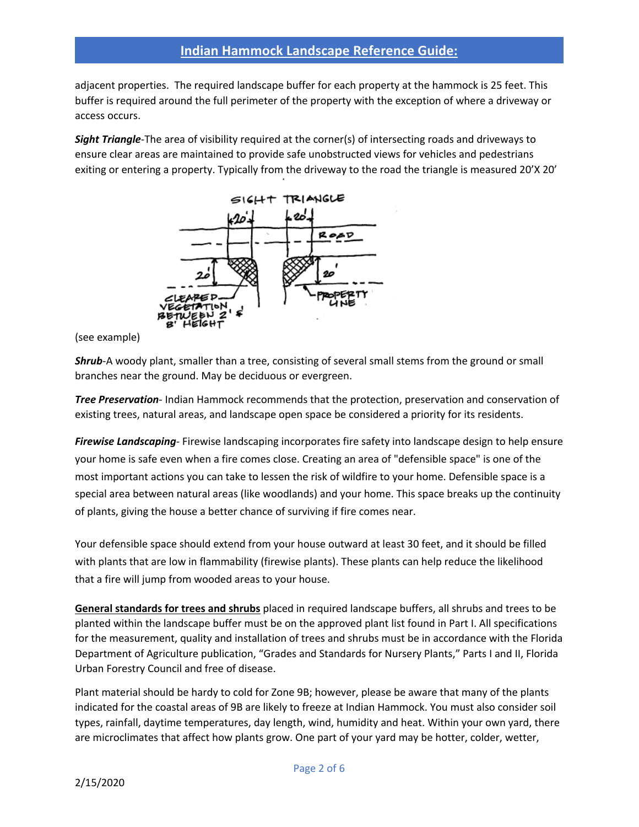adjacent properties. The required landscape buffer for each property at the hammock is 25 feet. This buffer is required around the full perimeter of the property with the exception of where a driveway or access occurs.

*Sight Triangle*-The area of visibility required at the corner(s) of intersecting roads and driveways to ensure clear areas are maintained to provide safe unobstructed views for vehicles and pedestrians exiting or entering a property. Typically from the driveway to the road the triangle is measured 20'X 20'



(see example)

*Shrub*-A woody plant, smaller than a tree, consisting of several small stems from the ground or small branches near the ground. May be deciduous or evergreen.

*Tree Preservation*- Indian Hammock recommends that the protection, preservation and conservation of existing trees, natural areas, and landscape open space be considered a priority for its residents.

*Firewise Landscaping*- Firewise landscaping incorporates fire safety into landscape design to help ensure your home is safe even when a fire comes close. Creating an area of "defensible space" is one of the most important actions you can take to lessen the risk of wildfire to your home. Defensible space is a special area between natural areas (like woodlands) and your home. This space breaks up the continuity of plants, giving the house a better chance of surviving if fire comes near.

Your defensible space should extend from your house outward at least 30 feet, and it should be filled with plants that are low in flammability (firewise plants). These plants can help reduce the likelihood that a fire will jump from wooded areas to your house.

**General standards for trees and shrubs** placed in required landscape buffers, all shrubs and trees to be planted within the landscape buffer must be on the approved plant list found in Part I. All specifications for the measurement, quality and installation of trees and shrubs must be in accordance with the Florida Department of Agriculture publication, "Grades and Standards for Nursery Plants," Parts I and II, Florida Urban Forestry Council and free of disease.

Plant material should be hardy to cold for Zone 9B; however, please be aware that many of the plants indicated for the coastal areas of 9B are likely to freeze at Indian Hammock. You must also consider soil types, rainfall, daytime temperatures, day length, wind, humidity and heat. Within your own yard, there are microclimates that affect how plants grow. One part of your yard may be hotter, colder, wetter,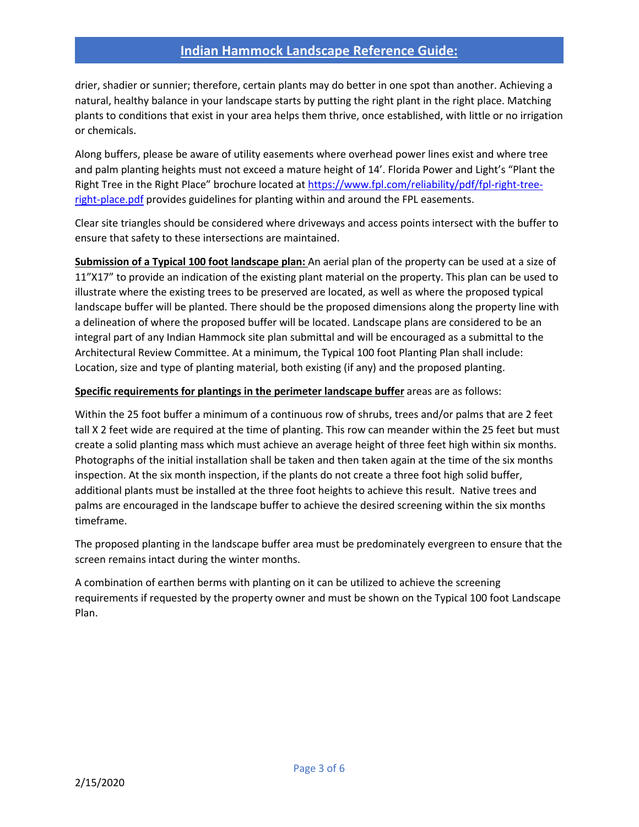drier, shadier or sunnier; therefore, certain plants may do better in one spot than another. Achieving a natural, healthy balance in your landscape starts by putting the right plant in the right place. Matching plants to conditions that exist in your area helps them thrive, once established, with little or no irrigation or chemicals.

Along buffers, please be aware of utility easements where overhead power lines exist and where tree and palm planting heights must not exceed a mature height of 14'. Florida Power and Light's "Plant the Right Tree in the Right Place" brochure located at https://www.fpl.com/reliability/pdf/fpl-right-treeright-place.pdf provides guidelines for planting within and around the FPL easements.

Clear site triangles should be considered where driveways and access points intersect with the buffer to ensure that safety to these intersections are maintained.

**Submission of a Typical 100 foot landscape plan:** An aerial plan of the property can be used at a size of 11"X17" to provide an indication of the existing plant material on the property. This plan can be used to illustrate where the existing trees to be preserved are located, as well as where the proposed typical landscape buffer will be planted. There should be the proposed dimensions along the property line with a delineation of where the proposed buffer will be located. Landscape plans are considered to be an integral part of any Indian Hammock site plan submittal and will be encouraged as a submittal to the Architectural Review Committee. At a minimum, the Typical 100 foot Planting Plan shall include: Location, size and type of planting material, both existing (if any) and the proposed planting.

#### **Specific requirements for plantings in the perimeter landscape buffer** areas are as follows:

Within the 25 foot buffer a minimum of a continuous row of shrubs, trees and/or palms that are 2 feet tall X 2 feet wide are required at the time of planting. This row can meander within the 25 feet but must create a solid planting mass which must achieve an average height of three feet high within six months. Photographs of the initial installation shall be taken and then taken again at the time of the six months inspection. At the six month inspection, if the plants do not create a three foot high solid buffer, additional plants must be installed at the three foot heights to achieve this result. Native trees and palms are encouraged in the landscape buffer to achieve the desired screening within the six months timeframe.

The proposed planting in the landscape buffer area must be predominately evergreen to ensure that the screen remains intact during the winter months.

A combination of earthen berms with planting on it can be utilized to achieve the screening requirements if requested by the property owner and must be shown on the Typical 100 foot Landscape Plan.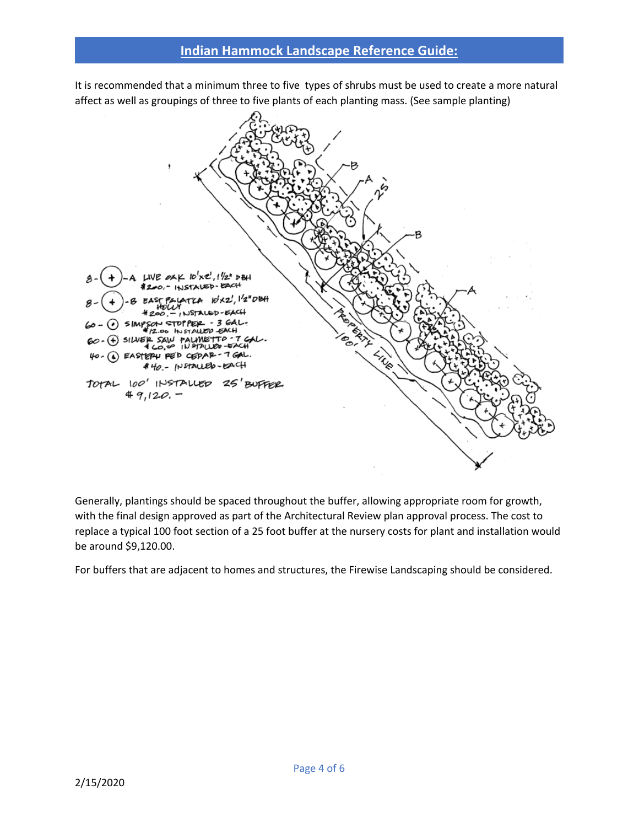It is recommended that a minimum three to five types of shrubs must be used to create a more natural affect as well as groupings of three to five plants of each planting mass. (See sample planting)



Generally, plantings should be spaced throughout the buffer, allowing appropriate room for growth, with the final design approved as part of the Architectural Review plan approval process. The cost to replace a typical 100 foot section of a 25 foot buffer at the nursery costs for plant and installation would be around \$9,120.00.

For buffers that are adjacent to homes and structures, the Firewise Landscaping should be considered.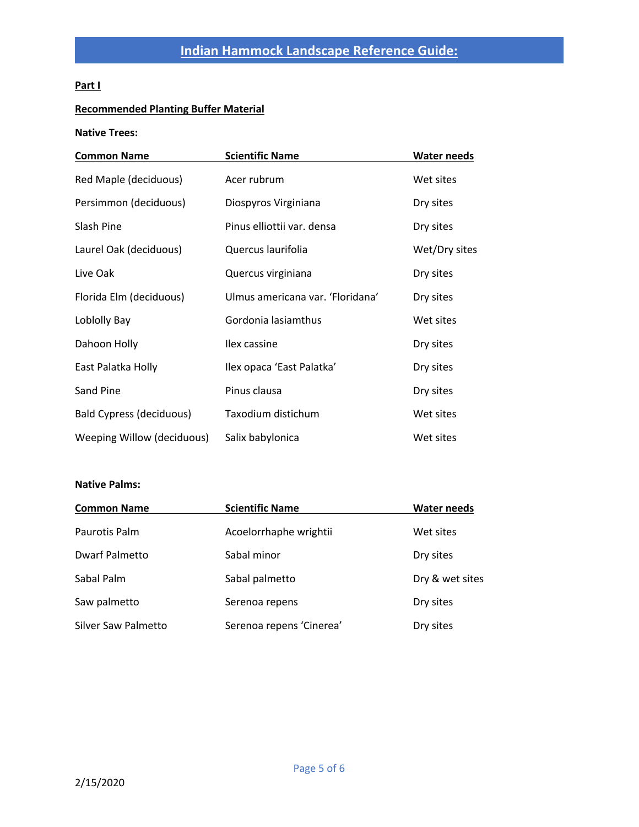## **Part I**

## **Recommended Planting Buffer Material**

#### **Native Trees:**

| <b>Common Name</b>         | <b>Scientific Name</b>           | <b>Water needs</b> |
|----------------------------|----------------------------------|--------------------|
| Red Maple (deciduous)      | Acer rubrum                      | Wet sites          |
| Persimmon (deciduous)      | Diospyros Virginiana             | Dry sites          |
| Slash Pine                 | Pinus elliottii var. densa       | Dry sites          |
| Laurel Oak (deciduous)     | Quercus laurifolia               | Wet/Dry sites      |
| Live Oak                   | Quercus virginiana               | Dry sites          |
| Florida Elm (deciduous)    | Ulmus americana var. 'Floridana' | Dry sites          |
| Loblolly Bay               | Gordonia lasiamthus              | Wet sites          |
| Dahoon Holly               | Ilex cassine                     | Dry sites          |
| East Palatka Holly         | Ilex opaca 'East Palatka'        | Dry sites          |
| Sand Pine                  | Pinus clausa                     | Dry sites          |
| Bald Cypress (deciduous)   | Taxodium distichum               | Wet sites          |
| Weeping Willow (deciduous) | Salix babylonica                 | Wet sites          |

## **Native Palms:**

| <b>Common Name</b>         | <b>Scientific Name</b>   | <b>Water needs</b> |
|----------------------------|--------------------------|--------------------|
| Paurotis Palm              | Acoelorrhaphe wrightii   | Wet sites          |
| <b>Dwarf Palmetto</b>      | Sabal minor              | Dry sites          |
| Sabal Palm                 | Sabal palmetto           | Dry & wet sites    |
| Saw palmetto               | Serenoa repens           | Dry sites          |
| <b>Silver Saw Palmetto</b> | Serenoa repens 'Cinerea' | Dry sites          |